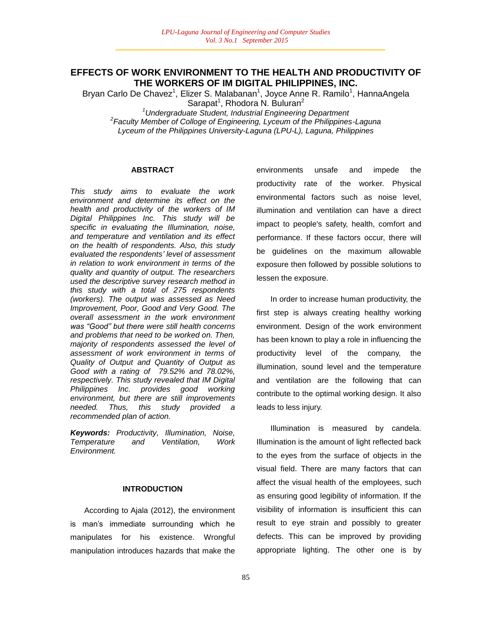## **EFFECTS OF WORK ENVIRONMENT TO THE HEALTH AND PRODUCTIVITY OF THE WORKERS OF IM DIGITAL PHILIPPINES, INC.**

Bryan Carlo De Chavez<sup>1</sup>, Elizer S. Malabanan<sup>1</sup>, Joyce Anne R. Ramilo<sup>1</sup>, HannaAngela Sarapat<sup>1</sup>, Rhodora N. Buluran<sup>2</sup>

*<sup>1</sup>Undergraduate Student, Industrial Engineering Department*

*2 Faculty Member of Colloge of Engineering, Lyceum of the Philippines-Laguna Lyceum of the Philippines University-Laguna (LPU-L), Laguna, Philippines*

### **ABSTRACT**

*This study aims to evaluate the work environment and determine its effect on the health and productivity of the workers of IM Digital Philippines Inc. This study will be specific in evaluating the Illumination, noise, and temperature and ventilation and its effect on the health of respondents. Also, this study evaluated the respondents" level of assessment in relation to work environment in terms of the quality and quantity of output. The researchers used the descriptive survey research method in this study with a total of 275 respondents (workers). The output was assessed as Need Improvement, Poor, Good and Very Good. The overall assessment in the work environment was "Good" but there were still health concerns and problems that need to be worked on. Then, majority of respondents assessed the level of assessment of work environment in terms of Quality of Output and Quantity of Output as Good with a rating of 79.52% and 78.02%, respectively. This study revealed that IM Digital Philippines Inc. provides good working environment, but there are still improvements needed. Thus, this study provided a recommended plan of action.*

*Keywords: Productivity, Illumination, Noise, Temperature and Ventilation, Work Environment.*

## **INTRODUCTION**

According to Ajala (2012), the environment is man"s immediate surrounding which he manipulates for his existence. Wrongful manipulation introduces hazards that make the

environments unsafe and impede the productivity rate of the worker. Physical environmental factors such as noise level, illumination and ventilation can have a direct impact to people's safety, health, comfort and performance. If these factors occur, there will be guidelines on the maximum allowable exposure then followed by possible solutions to lessen the exposure.

In order to increase human productivity, the first step is always creating healthy working environment. Design of the work environment has been known to play a role in influencing the productivity level of the company, the illumination, sound level and the temperature and ventilation are the following that can contribute to the optimal working design. It also leads to less injury.

Illumination is measured by candela. Illumination is the amount of light reflected back to the eyes from the surface of objects in the visual field. There are many factors that can affect the visual health of the employees, such as ensuring good legibility of information. If the visibility of information is insufficient this can result to eye strain and possibly to greater defects. This can be improved by providing appropriate lighting. The other one is by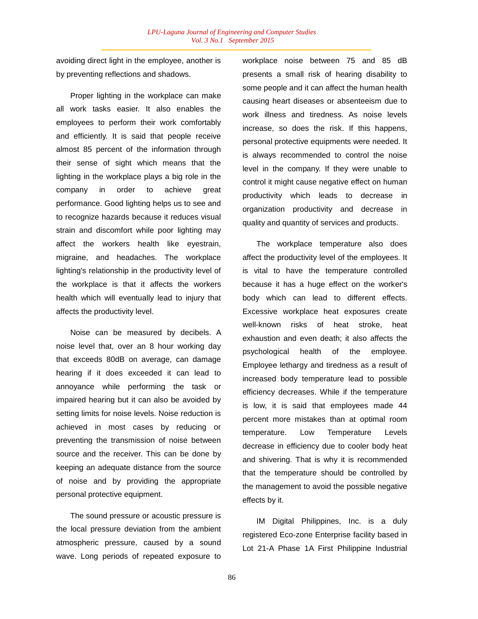avoiding direct light in the employee, another is by preventing reflections and shadows.

Proper lighting in the workplace can make all work tasks easier. It also enables the employees to perform their work comfortably and efficiently. It is said that people receive almost 85 percent of the information through their sense of sight which means that the lighting in the workplace plays a big role in the company in order to achieve great performance. Good lighting helps us to see and to recognize hazards because it reduces visual strain and discomfort while poor lighting may affect the workers health like eyestrain, migraine, and headaches. The workplace lighting's relationship in the productivity level of the workplace is that it affects the workers health which will eventually lead to injury that affects the productivity level.

Noise can be measured by decibels. A noise level that, over an 8 hour working day that exceeds 80dB on average, can damage hearing if it does exceeded it can lead to annoyance while performing the task or impaired hearing but it can also be avoided by setting limits for noise levels. Noise reduction is achieved in most cases by reducing or preventing the transmission of noise between source and the receiver. This can be done by keeping an adequate distance from the source of noise and by providing the appropriate personal protective equipment.

The sound pressure or acoustic pressure is the local pressure deviation from the ambient atmospheric pressure, caused by a sound wave. Long periods of repeated exposure to workplace noise between 75 and 85 dB presents a small risk of hearing disability to some people and it can affect the human health causing heart diseases or absenteeism due to work illness and tiredness. As noise levels increase, so does the risk. If this happens, personal protective equipments were needed. It is always recommended to control the noise level in the company. If they were unable to control it might cause negative effect on human productivity which leads to decrease in organization productivity and decrease in quality and quantity of services and products.

The workplace temperature also does affect the productivity level of the employees. It is vital to have the temperature controlled because it has a huge effect on the worker's body which can lead to different effects. Excessive workplace heat exposures create well-known risks of heat stroke, heat exhaustion and even death; it also affects the psychological health of the employee. Employee lethargy and tiredness as a result of increased body temperature lead to possible efficiency decreases. While if the temperature is low, it is said that employees made 44 percent more mistakes than at optimal room temperature. Low Temperature Levels decrease in efficiency due to cooler body heat and shivering. That is why it is recommended that the temperature should be controlled by the management to avoid the possible negative effects by it.

IM Digital Philippines, Inc. is a duly registered Eco-zone Enterprise facility based in Lot 21-A Phase 1A First Philippine Industrial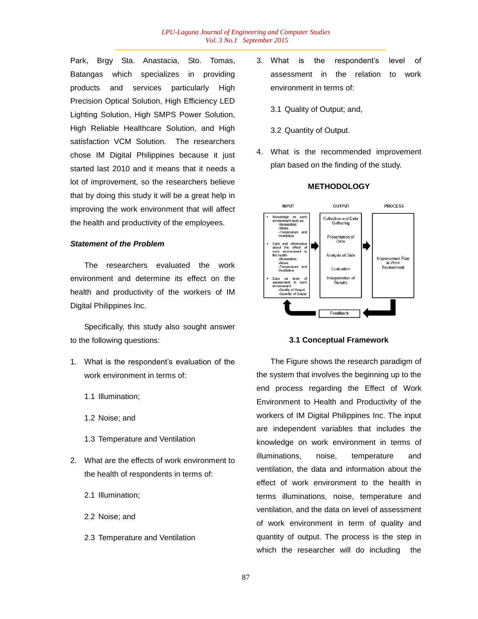Park, Brgy Sta. Anastacia, Sto. Tomas, Batangas which specializes in providing products and services particularly High Precision Optical Solution, High Efficiency LED Lighting Solution, High SMPS Power Solution, High Reliable Healthcare Solution, and High satisfaction VCM Solution. The researchers chose IM Digital Philippines because it just started last 2010 and it means that it needs a lot of improvement, so the researchers believe that by doing this study it will be a great help in improving the work environment that will affect the health and productivity of the employees.

## *Statement of the Problem*

The researchers evaluated the work environment and determine its effect on the health and productivity of the workers of IM Digital Philippines Inc.

Specifically, this study also sought answer to the following questions:

- 1. What is the respondent"s evaluation of the work environment in terms of:
	- 1.1 Illumination;
	- 1.2 Noise; and
	- 1.3 Temperature and Ventilation
- 2. What are the effects of work environment to the health of respondents in terms of:
	- 2.1 Illumination;
	- 2.2 Noise; and
	- 2.3 Temperature and Ventilation
- 3. What is the respondent"s level of assessment in the relation to work environment in terms of:
	- 3.1 Quality of Output; and,
	- 3.2 Quantity of Output.
- 4. What is the recommended improvement plan based on the finding of the study.



### **METHODOLOGY**

### **3.1 Conceptual Framework**

The Figure shows the research paradigm of the system that involves the beginning up to the end process regarding the Effect of Work Environment to Health and Productivity of the workers of IM Digital Philippines Inc. The input are independent variables that includes the knowledge on work environment in terms of illuminations, noise, temperature and ventilation, the data and information about the effect of work environment to the health in terms illuminations, noise, temperature and ventilation, and the data on level of assessment of work environment in term of quality and quantity of output. The process is the step in which the researcher will do including the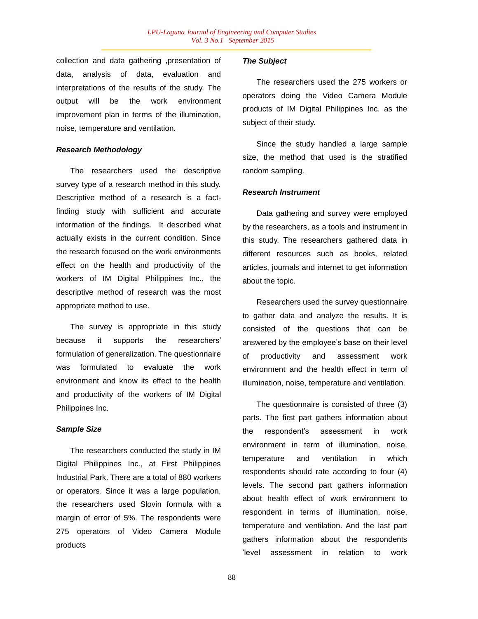collection and data gathering ,presentation of data, analysis of data, evaluation and interpretations of the results of the study. The output will be the work environment improvement plan in terms of the illumination, noise, temperature and ventilation.

## *Research Methodology*

The researchers used the descriptive survey type of a research method in this study. Descriptive method of a research is a factfinding study with sufficient and accurate information of the findings. It described what actually exists in the current condition. Since the research focused on the work environments effect on the health and productivity of the workers of IM Digital Philippines Inc., the descriptive method of research was the most appropriate method to use.

The survey is appropriate in this study because it supports the researchers' formulation of generalization. The questionnaire was formulated to evaluate the work environment and know its effect to the health and productivity of the workers of IM Digital Philippines Inc.

#### *Sample Size*

The researchers conducted the study in IM Digital Philippines Inc., at First Philippines Industrial Park. There are a total of 880 workers or operators. Since it was a large population, the researchers used Slovin formula with a margin of error of 5%. The respondents were 275 operators of Video Camera Module products

## *The Subject*

The researchers used the 275 workers or operators doing the Video Camera Module products of IM Digital Philippines Inc. as the subject of their study.

Since the study handled a large sample size, the method that used is the stratified random sampling.

### *Research Instrument*

Data gathering and survey were employed by the researchers, as a tools and instrument in this study. The researchers gathered data in different resources such as books, related articles, journals and internet to get information about the topic.

Researchers used the survey questionnaire to gather data and analyze the results. It is consisted of the questions that can be answered by the employee"s base on their level of productivity and assessment work environment and the health effect in term of illumination, noise, temperature and ventilation.

The questionnaire is consisted of three (3) parts. The first part gathers information about the respondent"s assessment in work environment in term of illumination, noise, temperature and ventilation in which respondents should rate according to four (4) levels. The second part gathers information about health effect of work environment to respondent in terms of illumination, noise, temperature and ventilation. And the last part gathers information about the respondents "level assessment in relation to work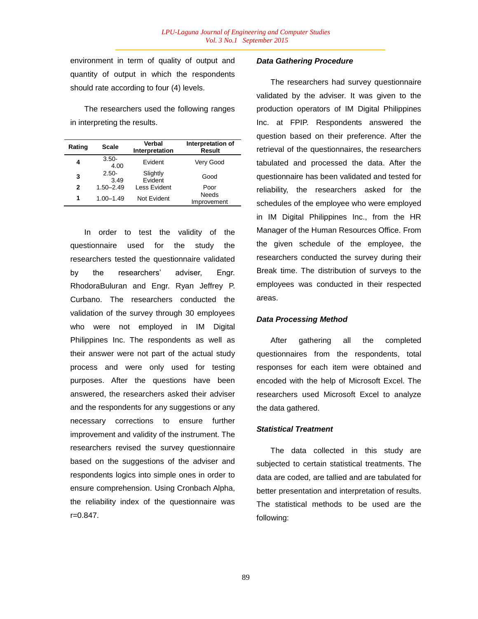environment in term of quality of output and quantity of output in which the respondents should rate according to four (4) levels.

The researchers used the following ranges in interpreting the results.

| Rating       | <b>Scale</b>     | Verbal<br>Interpretation | Interpretation of<br><b>Result</b> |
|--------------|------------------|--------------------------|------------------------------------|
| 4            | $3.50 -$<br>4.00 | Evident                  | Very Good                          |
| 3            | $2.50 -$<br>3.49 | Slightly<br>Evident      | Good                               |
| $\mathbf{2}$ | $1.50 - 2.49$    | Less Evident             | Poor                               |
| 1            | $1.00 - 1.49$    | Not Evident              | <b>Needs</b><br>Improvement        |

In order to test the validity of the questionnaire used for the study the researchers tested the questionnaire validated by the researchers' adviser. Engr. RhodoraBuluran and Engr. Ryan Jeffrey P. Curbano. The researchers conducted the validation of the survey through 30 employees who were not employed in IM Digital Philippines Inc. The respondents as well as their answer were not part of the actual study process and were only used for testing purposes. After the questions have been answered, the researchers asked their adviser and the respondents for any suggestions or any necessary corrections to ensure further improvement and validity of the instrument. The researchers revised the survey questionnaire based on the suggestions of the adviser and respondents logics into simple ones in order to ensure comprehension. Using Cronbach Alpha, the reliability index of the questionnaire was r=0.847.

## *Data Gathering Procedure*

The researchers had survey questionnaire validated by the adviser. It was given to the production operators of IM Digital Philippines Inc. at FPIP. Respondents answered the question based on their preference. After the retrieval of the questionnaires, the researchers tabulated and processed the data. After the questionnaire has been validated and tested for reliability, the researchers asked for the schedules of the employee who were employed in IM Digital Philippines Inc., from the HR Manager of the Human Resources Office. From the given schedule of the employee, the researchers conducted the survey during their Break time. The distribution of surveys to the employees was conducted in their respected areas.

## *Data Processing Method*

After gathering all the completed questionnaires from the respondents, total responses for each item were obtained and encoded with the help of Microsoft Excel. The researchers used Microsoft Excel to analyze the data gathered.

## *Statistical Treatment*

The data collected in this study are subjected to certain statistical treatments. The data are coded, are tallied and are tabulated for better presentation and interpretation of results. The statistical methods to be used are the following: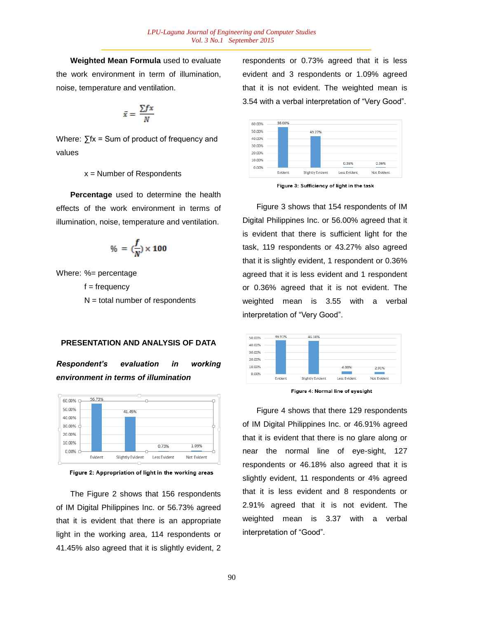**Weighted Mean Formula** used to evaluate the work environment in term of illumination, noise, temperature and ventilation.

$$
\bar{x} = \frac{\sum fx}{N}
$$

Where: ∑fx = Sum of product of frequency and values

## $x =$  Number of Respondents

**Percentage** used to determine the health effects of the work environment in terms of illumination, noise, temperature and ventilation.

$$
\% = (\frac{f}{N}) \times 100
$$

Where: %= percentage

 $f = frequency$  $N =$  total number of respondents

#### **PRESENTATION AND ANALYSIS OF DATA**

*Respondent's evaluation in working environment in terms of illumination*





The Figure 2 shows that 156 respondents of IM Digital Philippines Inc. or 56.73% agreed that it is evident that there is an appropriate light in the working area, 114 respondents or 41.45% also agreed that it is slightly evident, 2

respondents or 0.73% agreed that it is less evident and 3 respondents or 1.09% agreed that it is not evident. The weighted mean is 3.54 with a verbal interpretation of "Very Good".



Figure 3: Sufficiency of light in the task

Figure 3 shows that 154 respondents of IM Digital Philippines Inc. or 56.00% agreed that it is evident that there is sufficient light for the task, 119 respondents or 43.27% also agreed that it is slightly evident, 1 respondent or 0.36% agreed that it is less evident and 1 respondent or 0.36% agreed that it is not evident. The weighted mean is 3.55 with a verbal interpretation of "Very Good".



Figure 4: Normal line of evesight

Figure 4 shows that there 129 respondents of IM Digital Philippines Inc. or 46.91% agreed that it is evident that there is no glare along or near the normal line of eye-sight, 127 respondents or 46.18% also agreed that it is slightly evident, 11 respondents or 4% agreed that it is less evident and 8 respondents or 2.91% agreed that it is not evident. The weighted mean is 3.37 with a verbal interpretation of "Good".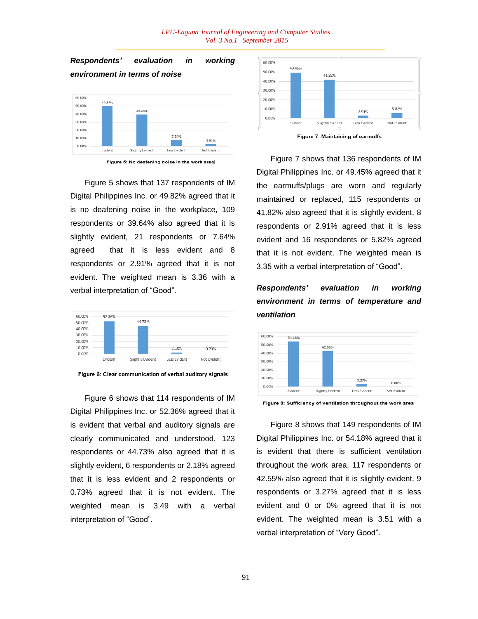#### *LPU-Laguna Journal of Engineering and Computer Studies Vol. 3 No.1 September 2015*



Figure 5 shows that 137 respondents of IM Digital Philippines Inc. or 49.82% agreed that it is no deafening noise in the workplace, 109 respondents or 39.64% also agreed that it is slightly evident, 21 respondents or 7.64% agreed that it is less evident and 8 respondents or 2.91% agreed that it is not evident. The weighted mean is 3.36 with a verbal interpretation of "Good".



Figure 6: Clear communication of verbal auditory signals

Figure 6 shows that 114 respondents of IM Digital Philippines Inc. or 52.36% agreed that it is evident that verbal and auditory signals are clearly communicated and understood, 123 respondents or 44.73% also agreed that it is slightly evident, 6 respondents or 2.18% agreed that it is less evident and 2 respondents or 0.73% agreed that it is not evident. The weighted mean is 3.49 with a verbal interpretation of "Good".





Figure 7 shows that 136 respondents of IM Digital Philippines Inc. or 49.45% agreed that it the earmuffs/plugs are worn and regularly maintained or replaced, 115 respondents or 41.82% also agreed that it is slightly evident, 8 respondents or 2.91% agreed that it is less evident and 16 respondents or 5.82% agreed that it is not evident. The weighted mean is 3.35 with a verbal interpretation of "Good".

# *Respondents' evaluation in working environment in terms of temperature and ventilation*





Figure 8 shows that 149 respondents of IM Digital Philippines Inc. or 54.18% agreed that it is evident that there is sufficient ventilation throughout the work area, 117 respondents or 42.55% also agreed that it is slightly evident, 9 respondents or 3.27% agreed that it is less evident and 0 or 0% agreed that it is not evident. The weighted mean is 3.51 with a verbal interpretation of "Very Good".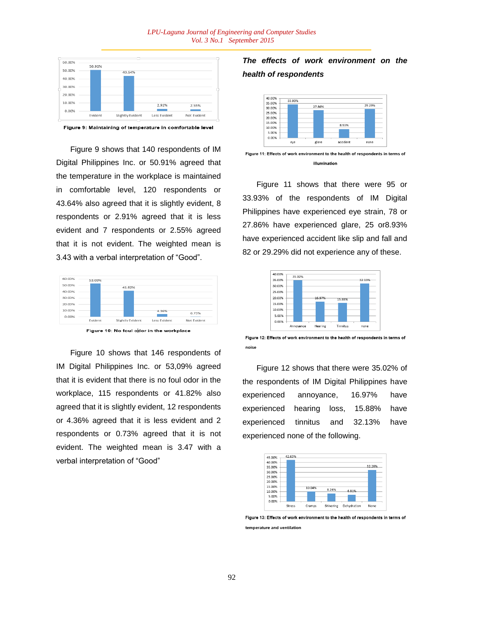

Figure 9: Maintaining of temperature in comfortable level

Figure 9 shows that 140 respondents of IM Digital Philippines Inc. or 50.91% agreed that the temperature in the workplace is maintained in comfortable level, 120 respondents or 43.64% also agreed that it is slightly evident, 8 respondents or 2.91% agreed that it is less evident and 7 respondents or 2.55% agreed that it is not evident. The weighted mean is 3.43 with a verbal interpretation of "Good".



Figure 10: No foul odor in the workplace

Figure 10 shows that 146 respondents of IM Digital Philippines Inc. or 53,09% agreed that it is evident that there is no foul odor in the workplace, 115 respondents or 41.82% also agreed that it is slightly evident, 12 respondents or 4.36% agreed that it is less evident and 2 respondents or 0.73% agreed that it is not evident. The weighted mean is 3.47 with a verbal interpretation of "Good"

## *The effects of work environment on the health of respondents*



Figure 11 shows that there were 95 or 33.93% of the respondents of IM Digital Philippines have experienced eye strain, 78 or 27.86% have experienced glare, 25 or8.93% have experienced accident like slip and fall and 82 or 29.29% did not experience any of these.



Figure 12: Effects of work environment to the health of respondents in terms of noise

Figure 12 shows that there were 35.02% of the respondents of IM Digital Philippines have experienced annoyance, 16.97% have experienced hearing loss, 15.88% have experienced tinnitus and 32.13% have experienced none of the following.



Figure 13: Effects of work environment to the health of respondents in terms of temperature and ventilation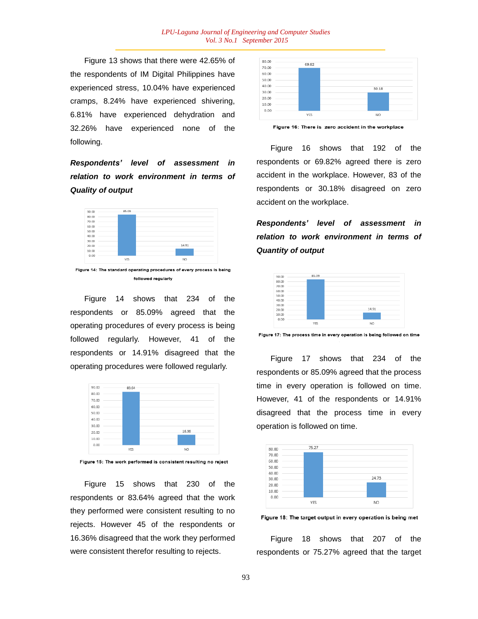Figure 13 shows that there were 42.65% of the respondents of IM Digital Philippines have experienced stress, 10.04% have experienced cramps, 8.24% have experienced shivering, 6.81% have experienced dehydration and 32.26% have experienced none of the following.

*Respondents' level of assessment in relation to work environment in terms of Quality of output*



Figure 14: The standard operating procedures of every process is being followed regularly

Figure 14 shows that 234 of the respondents or 85.09% agreed that the operating procedures of every process is being followed regularly. However, 41 of the respondents or 14.91% disagreed that the operating procedures were followed regularly.



Figure 15: The work performed is consistent resulting no reject

Figure 15 shows that 230 of the respondents or 83.64% agreed that the work they performed were consistent resulting to no rejects. However 45 of the respondents or 16.36% disagreed that the work they performed were consistent therefor resulting to rejects.



Figure 16: There is zero accident in the workplace

Figure 16 shows that 192 of the respondents or 69.82% agreed there is zero accident in the workplace. However, 83 of the respondents or 30.18% disagreed on zero accident on the workplace.

*Respondents' level of assessment in relation to work environment in terms of Quantity of output*



Figure 17: The process time in every operation is being followed on time

Figure 17 shows that 234 of the respondents or 85.09% agreed that the process time in every operation is followed on time. However, 41 of the respondents or 14.91% disagreed that the process time in every operation is followed on time.



Figure 18: The target output in every operation is being met

Figure 18 shows that 207 of the respondents or 75.27% agreed that the target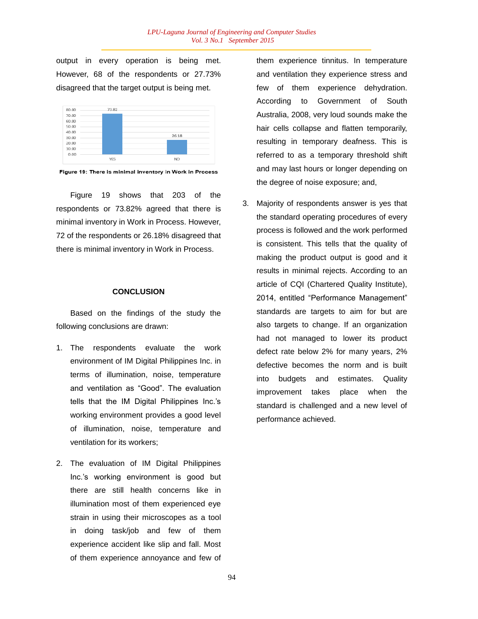output in every operation is being met. However, 68 of the respondents or 27.73% disagreed that the target output is being met.



Figure 19: There is minimal inventory in Work in Process

Figure 19 shows that 203 of the respondents or 73.82% agreed that there is minimal inventory in Work in Process. However, 72 of the respondents or 26.18% disagreed that there is minimal inventory in Work in Process.

#### **CONCLUSION**

Based on the findings of the study the following conclusions are drawn:

- 1. The respondents evaluate the work environment of IM Digital Philippines Inc. in terms of illumination, noise, temperature and ventilation as "Good". The evaluation tells that the IM Digital Philippines Inc."s working environment provides a good level of illumination, noise, temperature and ventilation for its workers;
- 2. The evaluation of IM Digital Philippines Inc."s working environment is good but there are still health concerns like in illumination most of them experienced eye strain in using their microscopes as a tool in doing task/job and few of them experience accident like slip and fall. Most of them experience annoyance and few of

them experience tinnitus. In temperature and ventilation they experience stress and few of them experience dehydration. According to Government of South Australia, 2008, very loud sounds make the hair cells collapse and flatten temporarily, resulting in temporary deafness. This is referred to as a temporary threshold shift and may last hours or longer depending on the degree of noise exposure; and,

3. Majority of respondents answer is yes that the standard operating procedures of every process is followed and the work performed is consistent. This tells that the quality of making the product output is good and it results in minimal rejects. According to an article of CQI (Chartered Quality Institute), 2014, entitled "Performance Management" standards are targets to aim for but are also targets to change. If an organization had not managed to lower its product defect rate below 2% for many years, 2% defective becomes the norm and is built into budgets and estimates. Quality improvement takes place when the standard is challenged and a new level of performance achieved.